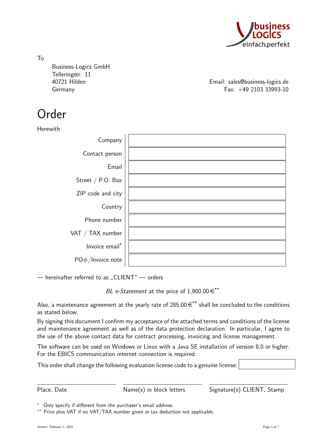

To Business-Logics GmbH Telleringstr. 11

40721 Hilden Email: sales@business-logics.de Germany Fax: +49 2103 33993-10

# Order

Herewith

| Company           |  |
|-------------------|--|
| Contact person    |  |
| Email             |  |
| Street / P.O. Box |  |
| ZIP code and city |  |
| Country           |  |
| Phone number      |  |
| VAT / TAX number  |  |
| Invoice email*    |  |
| PO#/Invoice note  |  |

 $-$  hereinafter referred to as "CLIENT"  $-$  orders

BL e-Statement at the price of  $1,900.00 \in$ \*\*.

Also, a maintenance agreement at the yearly rate of 285.00  $\epsilon^{**}$  shall be concluded to the conditions as stated below.

By signing this document I confirm my acceptance of the attached terms and conditions of the license and maintenance agreement as well as of the data protection declaration. In particular, I agree to the use of the above contact data for contract processing, invoicing and license management.

The software can be used on Windows or Linux with a Java SE installation of version 8.0 or higher. For the EBICS communication internet connection is required.

This order shall change the following evaluation license code to a genuine license:

Place, Date Mame(s) in block letters Signature(s) CLIENT, Stamp

<sup>∗</sup> Only specify if different from the purchaser's email address.

<sup>∗∗</sup> Price plus VAT if no VAT/TAX number given or tax deduction not applicable.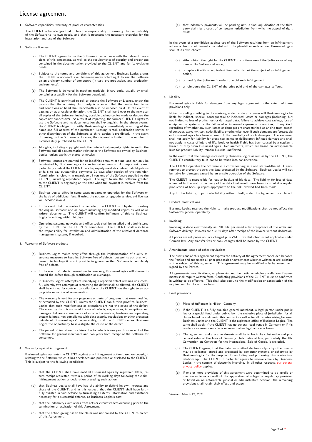# License agreement

1. Software capabilities, warranty of product characteristics

The CLIENT acknowledges that it has the responsibility of assuring the compatibility of the Software to its own needs, and that it possesses the necessary expertise for the installation and use of the Software.

- 2. Software licenses
	- (a) The CLIENT agrees to use the Software in accordance with the relevant provisions of this agreement, as well as the requirements of security and proper use contained in the documentation provided to the CLIENT and for its exclusive needs.
	- (b) Subject to the terms and conditions of this agreement Business-Logics grants the CLIENT a non-exclusive, time-wise unrestricted right to use the Software on an arbitrary number of computers (in test, pre-production, and production environments).
	- (c) The Software is delivered in machine readable, binary code, usually by email containing a weblink for the Software download.
	- (d) The CLIENT is permitted to sell or donate the Software or License, under the proviso that the acquiring third party is in accord that the contractual terms and conditions at hand shall henceforth also be imposed on it. In the event of passing on as a resale or donation, the CLIENT shall hand over to the new user all copies of the Software, including possible backup copies made or destroy the<br>copies not handed over. As a result of imparting, the former CLIENT's rights to<br>use the Software and its documentation shall extinguish. In t the CLIENT is obliged to notify Business-Logics immediately in writing of the name and full address of the purchaser. Leasing, rental, application service or other dissemination of the Software to third parties is prohibited. In the event of passing on the Software or License, the disposal is limited to the number of Licenses duly purchased by the CLIENT.
	- (e) All rights, including copyright and other intellectual property rights, in and to the Software and all documentation relating to the Software are owned by Business-Logics, unless explicitly stated otherwise.
	- (f) Software licenses are granted for an indefinite amount of time, and can only be terminated by Business-Logics for an important reason. An important reason particularly exists if the CLIENT fails to properly meet its contractual obligations or fails to pay outstanding payments 21 days after receipt of the reminder. Termination is relevant in regards to all versions of the Software supplied to the CLIENT, including reproduced copies. The right to use the Software granted to the CLIENT is beginning on the date when full payment is received from the CLIENT.
	- (g) Business-Logics offers in some cases updates or upgrades for the Software on the basis of additional fees. If using the update or upgrade service, old licenses will become invalid.
	- (h) In the event that the contract is cancelled, the CLIENT is obligated to destroy the original software and all copies including any modified copies as well as all written documents. The CLIENT will confirm fulfilment of this to Business-Logics in writing within 14 days.
	- (i) Operating systems, networks and office tools shall be installed and administered by the CLIENT on the CLIENT's computers. The CLIENT shall also have the responsibility for installation and administration of the relational database management system, if required.
- 3. Warranty of Software products
	- (a) Business-Logics makes every effort through the implementation of quality as-surance measures to keep its Software free of defects, but points out that with current technology it is not possible to guarantee that Software is completely free of defects.
	- (b) In the event of defects covered under warranty, Business-Logics will choose to amend the defect through rectification or exchange.
	- (c) If Business-Logics' attempts of remedying a reported defect remains unsuccess-ful, whereby two attempts of remedying the defect shall be allowed, the CLIENT shall be entitled for contract cancellation or the CLIENT has the right to an appropriate reduction of remuneration.
	- (d) The warranty is void for any programs or parts of programs that were modified or extended by the CLIENT, unless the CLIENT can furnish proof to Business-Logics that such modifications or extensions are not the cause of the defect. The warranty claim is also void in case of defects, suspensions, interruptions and damages that are a consequence of incorrect operation, hardware and operating system failures, non-compliance with data security regulations or other processes outside of Business-Logics' responsibility, or if the CLIENT denies Business-Logics the opportunity to investigate the cause of the defect.
	- (e) The period of limitation for claims due to defects is one year from receipt of the Software for general merchants and two years from receipt of the Software for consumers.
- 4. Warranty against infringement

Business-Logics warrants the CLIENT against any infringement action based on copyright relating to the Software which it has developed and published or disclosed to the CLIENT. This is subject to the following conditions:

- (a) that the CLIENT shall have notified Business-Logics by registered letter, return receipt requested, within a period of 30 working days following the claim, infringement action or declaration preceding such action,
- (b) that Business-Logics shall have had the ability to defend its own interests and those of the CLIENT, and in this respect, that the CLIENT shall have faithfully assisted in said defense by furnishing all items, information and assistance necessary for a successful defense, at Business-Logics's cost,
- (c) that the indemnity claim arises from acts or circumstances occurring prior to the termination or expiration of this Agreement,
- (d) that the action giving rise to the claim was not caused by the CLIENT's breach of this Agreement,

(e) that indemnity payments will be pending until a final adjudication of the third party claim by a court of competent jurisdiction from which no appeal of right exists.

In the event of a prohibition against use of the Software resulting from an infringement action or from a settlement concluded with the plaintiff in such action, Business-Logics shall at its own choice:

- (a) either obtain the right for the CLIENT to continue use of the Software or of any item of the Software at issue,
- (b) or replace it with an equivalent item which is not the subject of an infringement action,
- (c) or modify the Software in order to avoid such infringement,
- (d) or reimburse the CLIENT of the price paid and of the damages suffered.
- 5. Liability

Business-Logics is liable for damages from any legal argument to the extent of these provisions only.

Notwithstanding anything to the contrary, under no circumstances will Business-Logics be liable for indirect, special, consequential or incidental losses or damages (including, but not limited to loss of profits, lost or damaged data, failure to achieve cost savings, loss of equipment or systems, or the failure of or increased expense of operations) of any kind, regardless of whether any such losses or damages are characterized as arising from breach of contract, warranty, tort, strict liability or otherwise, even if such damages are foreseeable or Business-Logics has been advised of the possibility of such damages. The exclusion shall not apply for liability for gross negligence or deliberately inflicted damage and shall<br>not apply in cases of injury of life, body or health if this has been caused by a negligent<br>breach of duty from Business-Logics. laws for product liability, remain likewise unaffected.

In the event, that the damage is caused by Business-Logics as well as by the CLIENT, the CLIENT's contributory fault has to be taken into consideration.

The CLIENT operates the Software in a corresponding safe and state-of-the-art IT envi-ronment to protect the sensitive data processed by the Software. Business-Logics will not be liable for damages caused by an unsafe operation of the Software.

The CLIENT is responsible for regular backup of his data. The liability for loss of data is limited to the cost of recovery of the data that would have been incurred if a regular production of back-up copies appropriate to the risk involved had been made.

Any further liability, in particular liability without fault, under this Agreement is excluded.

6. Product modifications

Business-Logics reserves the right to make product modifications that do not affect the Software's general operability.

7. Invoicing

Invoicing is done electronically as PDF file per email after acceptance of the order and Software delivery. Invoices are due 30 days after receipt of the invoice without deduction.

All prices are net prices and are charged plus VAT if tax deduction is not applicable under German law. Any transfer fees or bank charges shall be borne by the CLIENT.

8. Amendments, scope of other regulations

The provisions of this agreement express the entirety of the agreement concluded between the Parties and supersede all prior proposals or agreements whether written or oral relating to the subject of this agreement. This agreement may be modified only by amendment signed by the Parties.

All agreements, modifications, supplements, and the partial or whole cancellation of agree-ments shall require written form. Conflicting provisions of the CLIENT must be confirmed in writing to be effective. This shall also apply to the modification or cancellation of the m withing to be encenve. This si

- 9. Final provisions
	- (a) Place of fulfilment is Hilden, Germany.
	- (b) If the CLIENT is a fully qualified general merchant, a legal person under public law or a special fund under public law, the exclusive place of jurisdiction for all claims based on and due to this contract as well as for all disputes arising between Business-Logics and the CLIENT is the registered office of Business-Logics. The same shall apply if the CLIENT has no general legal venue in Germany or if his residence or usual domicile is unknown when legal action is taken.
	- (c) The agreement and any amendments shall be to both the substantive and procedural rules of the laws of Germany. International law, particularly the UN Convention on Contracts for the International Sale of Goods, is excluded.
	- (d) The CLIENT agrees, that the data transmitted electronically or by other means may be collected, stored and processed by computer systems, or otherwise by Business-Logics for the purpose of concluding and processing this contractual business-Logics The CLIENT in particular agrees to receive emails by [privacy policy](https://www.business-logics.de/privacy.html) applies.
	- (e) If one or more provisions of this agreement were determined to be invalid or unenforceable as a result of the application of a legal or regulatory provision or based on an enforceable judicial or administrative decision, the remaining provisions shall retain their effect and scope.

Version: March 12, 2021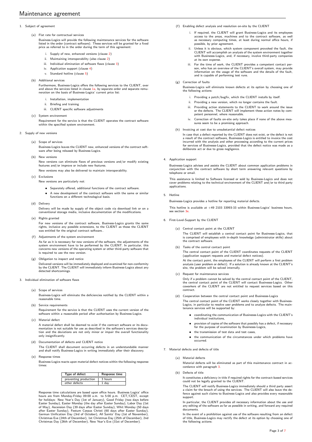# <span id="page-2-4"></span>1. Subject of agreement

(a) Flat rate for contractual services

Business-Logics will provide the following maintenance services for the software listed in the order (contract software). These services will be granted for a fixed price as referred to in the order during the term of this agreement:

- i. Supply of new, enhanced versions (clause [2\)](#page-2-0)
- ii. Maintaining interoperability (also clause [2\)](#page-2-0)
- iii. Individual elimination of software flaws (clause [3\)](#page-2-1)
- iv. Application support (clause [4\)](#page-2-2)
- v. Standard hotline (clause [5\)](#page-2-3)
- (b) Additional services

Furthermore, Business-Logics offers the following services to the CLIENT, over and above the services listed in clause [1a,](#page-2-4) by separate order and separate remuneration on the basis of Business-Logics' current price list:

- i. Installation, implementation
- ii. Briefing and training
- iii. CLIENT specific software adjustments
- (c) System environment

Requirement for the service is that the CLIENT operates the contract software within the specified system environment.

- <span id="page-2-0"></span>2. Supply of new versions
	- (a) Scope of services

Business-Logics leaves the CLIENT new, enhanced versions of the contract software after being released by Business-Logics.

(b) New versions

New versions can eliminate flaws of previous versions and/or modify existing features and/or improve or include new features.

New versions may also be delivered to maintain interoperability.

- (c) Exclusions
	- New versions are particularly not:
		- Separately offered, additional functions of the contract software.
		- A new development of the contract software with the same or similar functions on a different technological basis.
- (d) Delivery

Delivery will be made by supply of the object code via download link or on a conventional storage media, inclusive documentation of the modifications.

(e) Rights granted

For new versions of the contract software, Business-Logics grants the same rights, inclusive any possible extensions, to the CLIENT as those the CLIENT was entitled for the original contract software..

- (f) Adjustments of the system environment As far as it is necessary for new versions of the software, the adjustments of the system environment have to be performed by the CLIENT. In particular, this concerns new versions of the operating system or other third-party software that is required to use the new version.
- (g) Obligation to inspect and notice Delivered versions will be immediately deployed and examined for non-conformity by the CLIENT. The CLIENT will immediately inform Business-Logics about any detected shortcomings.
- <span id="page-2-1"></span>3. Individual elimination of software flay
	- (a) Scope of services

Business-Logics will eliminate the deficiencies notified by the CLIENT within a reasonable time.

- (b) Service requirements Requirement for the service is that the CLIENT uses the current version of the software within a reasonable period after authorisation by Business-Logics.
- (c) Material defect A material defect shall be deemed to exist if the contract software or its documentation is not suitable for use as described in the software's services description and the deviations are not only minor or impair the overall functionality only insignificantly.
- (d) Documentation of defects and CLIENT notice

The CLIENT shall document occurring defects in an understandable manner and shall notify Business-Logics in writing immediately after their discovery.

<span id="page-2-5"></span>(e) Response times

Business-Logics reacts upon material defect notices within the following response times:

| <b>Type of defect</b> | Response time |  |
|-----------------------|---------------|--|
| preventing production | 3 hours       |  |
| other defects         | 1 dav         |  |

Response time calculations are based upon office hours. Business Logics' office hours are from Monday-Friday 09:00 a.m. to 5:00 p.m. CET/CEST, except for holidays: New Year's Day (1st of January), Good Friday (two days before Easter Sunday), Easter Monday (the day after Easter Sunday), Labor Day (1st<br>of May), Ascension Day (39 days after Easter Sunday), Whit Monday (50 days<br>after Easter Sunday), Festum Corpus Christi (60 days after Easter Sunda

- (f) Enabling defect analysis and resolution on-site by the CLIENT
	- i. If required, the CLIENT will grant Business-Logics and its employees access to the areas, machines and to the contract software, as well as necessary computing times, at least during normal office hours, if possible, by prior agreement.
	- ii. Unless it is obvious, which system component provoked the fault, the CLIENT will accomplish an analysis of the system environment together with Businesss-Logics, and, if necessary, involve third-party companies at its own expense.
	- iii. For the time of work, the CLIENT provides a competent contact per-<br>son, who has an overview of the CLIENT's overall system, may provide<br>information on the usage of the software and the details of the fault, and is capable of performing test runs.

# (g) Correction of faults

Business-Logics will eliminate known defects at its option by choosing one of the following actions:

- i. Providing a patch/bugfix, which the CLIENT installs by itself.
- ii. Providing a new version, which no longer contains the fault.
- iii. Providing action statements to the CLIENT to work around the issue or the defects. The CLIENT will implement these action notes by competent personnel, where reasonable.
- iv. Correction of faults on-site only takes place if none of the above measures seem to be a promising approach
- (h) Invoicing at cost due to unsubstantial defect notices

In case that a defect reported by the CLIENT does not exist, or the defect is not a result of the contract software, Businesss-Logics is entitled to invoice the cost incurred with the analysis and other processing according to the current prices for services of Businesss-Logics, provided that the defect notice was made as a deliberate act or due to gross negligence.

#### <span id="page-2-2"></span>4. Application support

Businesss-Logics advises and assists the CLIENT about common application problems in conjunction with the contract software by short term answering relevant questions by telephone or email.

This assistance is limited to Software licensed or sold by Business-Logics and does not cover problems relating to the technical environment of the CLIENT and/or to third party applications.

#### <span id="page-2-3"></span>5. Hotline

Businesss-Logics provides a hotline for reporting material defects.

This hotline is available at +49 2103 33993-33 within Business-Logics' business hours, see section 3e

# 6. First-Level-Support by the CLIENT

(a) Central contact point at the CLIENT The CLIENT will establish a central contact point for Businesss-Logics, that is comprised of employees with in-depth knowledge (administrator skills) about the contract software.

(b) Tasks of the central contact point

The central contact point of the CLIENT coordinates requests of the CLIENT (application support requests and material defect notices).

At the contact point, the employees of the CLIENT will perform a first problem analysis (user problem or defect). If a solution is already known at the CLIENT's site, the problem will be solved internally.

(c) Request for maintenance services

Only if a problem cannot be solved by the central contact point of the CLIENT, the central contact point of the CLIENT will contact Businesss-Logics. Other coworkers of the CLIENT are not entitled to request services based on this contract.

(d) Cooperation between the central contact point and Businesss-Logics

The central contact point of the CLIENT works closely together with Business-Logics, in particular to resolve user problems and to analyze defects. The main-tenance services will be supported by:

- coordinating the communication of Businesss-Logics with the CLIENT's individual institutions,
- provision of copies of the software that possibly has a defect, if necessary for the purpose of examination by Businesss-Logics,
- the transmission of test data and test cases,
- the communication of the circumstances under which problems have occurred.
- 7. Material defects and defects of title
	- (a) Material defects Material defects will be eliminated as part of this maintenance contract in accordance with paragraph 3
	- (b) Defects of title

It constitutes a deficiency in title if required rights for the contract-based services could not be legally granted to the CLIENT.

The CLIENT will notify Business-Logics immediately should a third party assert a claim for the breach of using the services. The CLIENT will also leave the de-fence against such claims to Business-Logics and also provides every reasonable support.

In particular, the CLIENT provides all necessary information about the use and any editing of the software as far as possible in writing, and forward any required documents

In the event of a prohibition against use of the software resulting from an defect of title, Business-Logics may rectify the defect at its option by choosing one of or title, business-Log<br>the following actions: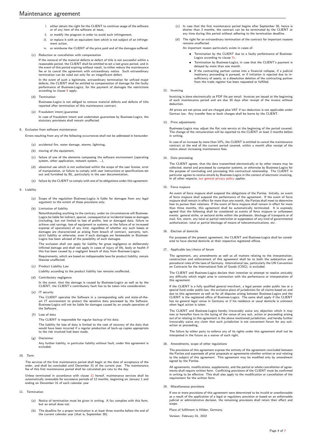- i. either obtain the right for the CLIENT to continue usage of the software or of any item of the software at issue,
- ii. or modify the program in order to avoid such infringement,
- iii. or replace it with an equivalent item which is not subject of an infringe-
- ment action, iv. or reimburse the CLIENT of the price paid and of the damages suffered.
- <span id="page-3-2"></span>(c) Reduction or cancellation with compensation

If the removal of the material defects or defect of title is not successful within a reasonable period, the CLIENT shall be entitled to set a last grace period, and in the event of this period expiring without result, to either reduce the maintenance fee or to cancel the agreement with extraordinary notice. Such extraordinary termination can be ruled out only for an insignificant defect.

In the event of such a legitimate, extraordinary termination for unfixed major defects, the CLIENT shall be entitled to compensation of damage for the faulty performance of Business-Logics; for the payment of damages the restrictions .<br>according to clause [9](#page-3-0) apply.

(d) Termination

Businesss-Logics is not obliged to remove material defects and defects of title reported after termination of this maintenance contract.

- (e) Fraudulent intent/guarantee In case of fraudulent intent and undertaken guarantees by Business-Logics, the statutory provisions shall remain unaffected.
- 8. Exclusion from software maintenance

Errors resulting from any of the following occurrences shall not be addressed in hereunder:

- (a) accidental fire, water damage, storms, lightning,
- (b) moving of the equipment,
- (c) failure of one of the elements composing the software environment (operating system, other application, network system, ...),
- (d) abnormal use which is not authorized within the scope of the user license, error of manipulation, or failure to comply with user instructions or specifications set out and furnished by BL, particularly in the user documentation,
- (e) failure by the CLIENT to comply with one of its obligations under this agreement.

#### <span id="page-3-0"></span>9. Liability

- (a) Scope of the regulation Business-Logics is liable for damages from any legal argument to the extent of these provisions only.
- (b) Limitation of liability

Notwithstanding anything to the contrary, under no circumstances will Business-Logics be liable for indirect, special, consequential or incidental losses or damages (including, but not limited to loss of profits, lost or damaged data, failure to achieve cost savings, loss of equipment or systems, or the failure of or increased<br>expense of operations) of any kind, regardless of whether any such losses or<br>damages are characterized as arising from breach of contract, strict liability or otherwise, even if such damages are foreseeable or Business-Logics has been advised of the possibility of such damages.

The exclusion shall not apply for liability for gross negligence or deliberately inflicted damage and shall not apply in cases of injury of life, body or health if this has been caused by a negligent breach of duty from Business-Logics. Requirements, which are based on indispensable laws for product liability, remain

likewise unaffected. (c) Product Liability Law

Liability according to the product liability law remains unaffected.

(d) Contributory negligence

In the event, that the damage is caused by Business-Logics as well as by the CLIENT, the CLIENT's contributory fault has to be taken into consideration.

(e) IT security

The CLIENT operates the Software in a corresponding safe and state-of-theart IT environment to protect the sensitive data processed by the Software. Business-Logics will not be liable for damages caused by an unsafe operation of the Software.

(f) Loss of data

The CLIENT is responsible for regular backup of his data.

The liability for loss of data is limited to the cost of recovery of the data that would have been incurred if a regular production of back-up copies appropriate to the risk involved had been made.

(g) Disclaimer

Any further liability, in particular liability without fault, under this agreement is excluded.

10. Term

The services of the first maintenance period shall begin at the date of acceptance of the order, and shall be concluded until December 31 of the current year. The maintenance fee of this first maintenance period shall be calculated pro rata to the day.

Unless terminated in accordance with clause [11](#page-3-1) hereof, maintenance services shall be automatically renewable for successive periods of 12 months, beginning on January 1 and ending on December 31 of each calendar year.

- <span id="page-3-1"></span>11. Termination
	- (a) Notice of termination must be given in writing. A fax complies with this form, but an email does not.
	- (b) The deadline for a proper termination is at least three months before the end of the current calendar year (that is, September 30).
- (c) In case that the first maintenance period begins after September 30, hence is shorter than 3 months, the contract can be be terminated by the CLIENT at any time during this period without adhering to the termination deadline
- (d) The right for an extraordinary termination of the contract for important reasons rile right for an ext.<br>remains unaffected.

An important reason particularly exists in cases of:

- Termination by the CLIENT due to a faulty performance of Business-Logics according to clause [7c.](#page-3-2)
- Termination by Business-Logics, in case that the CLIENT's payment is delayed by more than one month.
- If the contracting partner comes into a financial collapse, if a judicial insolvency proceeding is pursued, or if initiation is rejected due to in-sufficiency of assets, or a dissolution deletion of the contracting partner from the trade register has been requested or fulfilled.

# 12. Invoicing

Invoicing is done electronically as PDF file per email. Invoices are issued at the beginning of each maintenance period and are due 30 days after receipt of the invoice without deduction.

All prices are net prices and are charged plus VAT if tax deduction is not applicable under German law. Any transfer fees or bank charges shall be borne by the CLIENT.

#### 13. Price adjustments

Businesss-Logics may adjust the flat rate service at the beginning of the period covered. The change of the remuneration will be reported to the CLIENT at least 2 months before in writing.

In case of an increase by more than 10%, the CLIENT is entitled to cancel the maintenance contract at the end of the current period covered, within a month after receipt of the notice about increasing maintenance fees.

# 14. Data processing

The CLIENT agrees, that the data transmitted electronically or by other means may be collected, stored and processed by computer systems, or otherwise by Business-Logics for the purpose of concluding and processing this contractual relationship. The CLIENT in<br>particular agrees to receive emails by Business-Logics in the context of electronic invoicing.<br>In all other respects, our general privac

#### 15. Force majeure

An event of force majeure shall suspend the obligations of the Parties. Initially, an event of force majeure shall suspend the performance of the agreement. If the event of force majeure shall remain in effect for more than one month, the Parties shall meet to determine how to pursue their relations. If the event of force majeure shall remain in effect for more<br>than three months, this agreement shall be automatically terminated. It is expressly<br>agreed that the following shall be considere egreed ends the following shall be considered as events or force inajecte of tamorecents: general strike, or sectoral strike within the profession, blockage of transports or of mail, fire, storm, any total or partial restriction or suppression of any kind of governmental authorization, total or partial blockage of means of telecommunications, etc.

16. Election of domicile

For purposes of the present agreement, the CLIENT and Business-Logics shall be considered to have elected domicile at their respective registered offices.

17. Applicable law/choice of forum

The agreement, any amendments as well as all matters relating to the interpretation,<br>construction and enforcement of this agreement shall be to both the substantive and<br>procedural rules of the laws of Germany. Internationa

The CLIENT and Business-Logics declare their intention to attempt to resolve amicably any difficulty which might arise in connection with the performance or interpretation of this agreement.

If the CLIENT is a fully qualified general merchant, a legal person under public law or a special fund under public law, the exclusive place of jurisdiction for all claims based on and due to this agreement as well as for all disputes arising between Business-Logics and the<br>CLIENT is the registered office of Business-Logics. The same shall apply if the CLIENT<br>has no general legal venue in Germany or if h when legal action is taken.

The CLIENT and Business-Logics hereby irrevocably waive any objection which it may now or hereafter have to the laying of the venue of any suit, action or proceeding arising out of or relating to this agreement in the above mentioned jurisdiction, and hereby further irrevocably waive any claim that such jurisdiction is not convenient forum for any suit, action or proceeding.

The failure by either party to enforce any of its rights under this agreement shall not be interpreted in the future as a waiver of such right.

18. Amendments, scope of other regulations

The provisions of this agreement express the entirety of the agreement concluded between the Parties and supersede all prior proposals or agreements whether written or oral relating to the subject of this agreement. This agreement may be modified only by amendment signed by the Parties.

All agreements, modifications, supplements, and the partial or whole cancellation of agreements shall require written form. Conflicting provisions of the CLIENT must be confirmed in writing to be effective. This shall also apply to the modification or cancellation of the requirement for the written form.

#### 19. Miscellaneous provisions

If one or more provisions of this agreement were determined to be invalid or unenforceable as a result of the application of a legal or regulatory provision or based on an enforceable judicial or administrative decision, the remaining provisions shall retain their effect and scope.

Place of fulfilment is Hilden, Germany.

Version: February 01, 2022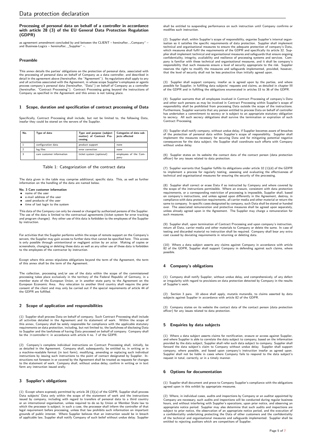# Processing of personal data on behalf of a controller in accordance with article 28 (3) of the EU General Data Protection Regulation (GDPR)

as agreement amendment concluded by and between the CLIENT – hereinafter, "Company" –<br>and Business Lazies – hereinafter – Sunalize" and Business-Logics – hereinafter, "Supplier" –.<br>

# Preamble

This annex details the parties' obligations on the protection of personal data, associated with the processing of personal data on behalf of Company as a data controller, and described in detail in the agreement above (hereinafter, the "Agreement"). Its regulations shall apply to any and all activities associated with the Agreement, in whose scope Supplier's employees or agents<br>process company's personal data (hereinafter, "Data") on behalf of Company as a controller<br>(hereinafter, "Contract Processing"

# 1 Scope, duration and specification of contract processing of Data

Specifically, Contract Processing shall include, but not be limited to, the following Data, insofar they could be stored on the servers of the Supplier.

| No. | Type of data              | Type and purpose (subject<br>matter) of Contract Pro-<br>cessing | Categories of data sub-<br>jects affected |
|-----|---------------------------|------------------------------------------------------------------|-------------------------------------------|
|     | configuration data        | product support                                                  | none                                      |
|     | log files                 | error correction                                                 | none                                      |
| 3   | care customer information | ticket system (optional)                                         | employees of the Com-<br>pany             |

## Table 1: Categorization of the contract data

The data given in the table may comprise additional, specific data. This, as well as further information on the handling of the data are named below.

# No. 3 Care customer information • name of the user

- $e$ -mail address of the user
- used products of the user
- time of last login to the system

This data of the Company can only be viewed or changed by authorized persons of the Supplier. The use of the data is limited to the contractual agreements (ticket system for error tracking and program changes). Any other use of this data is forbidden to the employees of the Supplier by instruction.

For activities that the Supplier performs within the scope of remote support on the Company's servers, the Supplier may gain access to further data that cannot be specified here. This access is only possible through unintentional or negligent action by an actor. Making of copies or screenshots, changing or deleting these data as well as any other use of these data is forbidden to the employees of the contractor by instruction.

Except where this annex stipulates obligations beyond the term of the Agreement, the term of this annex shall be the term of the Agreement.

The collection, processing and/or use of the data within the scope of the commissioned processing takes place exclusively in the territory of the Federal Republic of Germany, in a member state of the European Union, or in another state party to the Agreement on the European Economic Area. Any relocation to another third country shall require the prior consent of the client and may only be carried out if the special requirements of article 44 of the GDPR are fulfilled.

# 2 Scope of application and responsibilities

(1) Supplier shall process Data on behalf of company. Such Contract Processing shall include all activities detailed in the Agreement and its statement of work. Within the scope of this annex, Company shall be solely responsible for compliance with the applicable statutory requirements on data protection, including, but not limited to, the lawfulness of disclosing Data to Supplier and the lawfulness of having Data processed on behalf of company. Company shall be the  $\gg$  controller $\ll$  in accordance with article 4 no. 7 of the GDPR.

(2) Company's complete individual instructions on Contract Processing shall, initially, be as detailed in the Agreement. Company shall, subsequently, be entitled to, in writing or in<br>in samachine-readable format (in text form), modifying, amending or replacing such individual<br>instructions by issuing such instruc to the statement of work. Company shall, without undue delay, confirm in writing or in text form any instruction issued orally.

# 3 Supplier's obligations

(1) Except where expressly permitted by article 28 (3)(a) of the GDPR, Supplier shall process Data subjects' Data only within the scope of the statement of work and the instructions issued by company, including with regard to transfers of personal data to a third country or an international organisation, unless required to do so by Union or Member State law to which the processor is subject; in such a case, the processor shall inform the controller of that legal requirement before processing, unless that law prohibits such information on important grounds of public interest. Where Supplier believes that an instruction would be in breach of applicable law, Supplier shall notify Company of such belief without undue delay. Supplier

shall be entitled to suspending performance on such instruction until Company confirms or modifies such instruction.

(2) Supplier shall, within Supplier's scope of responsibility, organise Supplier's internal organ-isation so it satisfies the specific requirements of data protection. Supplier shall implement technical and organisational measures to ensure the adequate protection of company's Data, which measures shall fulfil the requirements of the GDPR and specifically its article 32. Supplier shall implement technical and organisational measures and safeguards that ensure ongoing confidentiality, integrity, availability and resilience of processing systems and services. Com-<br>pany is familiar with these technical and organisational measures, and it shall be company's<br>responsibility that such measure that the level of security shall not be less protective than initially agreed upon.

(3) Supplier shall support company, insofar as is agreed upon by the parties, and where<br>possible for Supplier, in fulfilling data subjects' requests and claims, as detailed in chapter III<br>of the GDPR and in fulfilling the

(4) Supplier warrants that all employees involved in Contract Processing of company's Data and other such persons as may be involved in Contract Processing within Supplier's scope of responsibility shall be prohibited from processing Data outside the scope of the instructions. Furthermore, Supplier warrants that any person entitled to process Data on behalf of controller has undertaken a commitment to secrecy or is subject to an appropriate statutory obligation to secrecy. All such secrecy obligations shall survive the termination or expiration of such Contract Processing.

(5) Supplier shall notify company, without undue delay, if Supplier becomes aware of breaches<br>of the protection of personal data within Supplier's scope of responsibility. Supplier shall<br>implement the measures necessary fo without undue delay.

(6) Supplier states on its website the contact data of the contact person (data protection officer) for any issues related to data protection.

(7) Supplier warrants that Supplier fulfills its obligations under article 32 (1)(d) of the GDPR to implement a process for regularly testing, assessing and evaluating the effectiveness of technical and organisational measures for ensuring the security of the processing.

(8) Supplier shall correct or erase Data if so instructed by Company and where covered by the scope of the instructions permissible. Where an erasure, consistent with data protection requirements, or a corresponding restriction of processing is impossible, Supplier shall, based<br>on company's instructions, and unless agreed upon differently in the Agreement, destroy, in<br>compliance with data protection re same to company. In specific cases designated by company, such Data shall be stored or handed over. The associated remuneration and protective measures shall be agreed upon separately, unless already agreed upon in the Agreement. The Supplier may charge a remuneration for such measures

(9) Supplier shall, upon termination of Contract Processing and upon company's instruction, return all Data, carrier media and other materials to Company or delete the same. In case of testing and discarded material no instruction shall be required. Company shall bear any extra cost caused by deviating requirements in returning or deleting data.

(10) Where a data subject asserts any claims against Company in accordance with article 82 of the GDPR, Supplier shall support Company in defending against such claims, where possible.

# 4 Company's obligations

(1) Company shall notify Supplier, without undue delay, and comprehensively, of any defect or irregularity with regard to provisions on data protection detected by Company in the results of Supplier's work.

(2) Section 3 para. 10 above shall apply, mutatis mutandis, to claims asserted by data subjects against Supplier in accordance with article 82 of the GDPR.

(3) Company states on its website the contact data of the contact person (data protection officer) for any issues related to data protection.

# 5 Enquiries by data subjects

(1) Where a data subject asserts claims for rectification, erasure or access against Supplier, and where Supplier is able to correlate the data subject to company, based on the information provided by the data subject, Supplier shall refer such data subject to company. Supplier shall provided by the data subject, Supplier shall refer such data subject to company. Supplier shall forward the data subject's claim to Company without undue delay. Supplier shall support company, where possible, and based upon company's instruction insofar as agreed upon. Supplier shall not be liable in cases where Company fails to respond to the data subject's request in total, correctly, or in a timely manner.

# 6 Options for documentation

(1) Supplier shall document and prove to Company Supplier's compliance with the obligations agreed upon in this exhibit by appropriate measures.

(2) Where, in individual cases, audits and inspections by Company or an auditor appointed by Company are necessary, such audits and inspections will be conducted during regular business hours, and without interfering with Supplier's operations, upon prior notice, and observing an appropriate notice period. Supplier may also determine that such audits and inspections are<br>subject to prior notice, the observation of an appropriate notice period, and the execution of<br>a confidentiality undertaking prote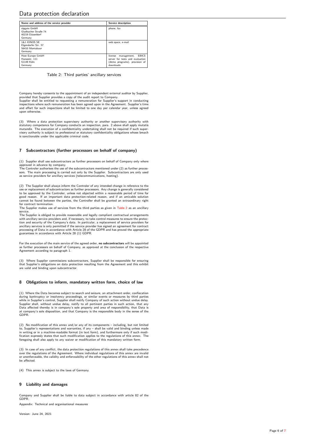<span id="page-5-0"></span>

| Name and address of the service provider                                     | <b>Service description</b>                                                                                              |  |
|------------------------------------------------------------------------------|-------------------------------------------------------------------------------------------------------------------------|--|
| sipgate GmbH<br>Gladbacher Straße 74<br>40219 Diisseldorf<br>Germany         | phone, fax                                                                                                              |  |
| <b>1&amp;1 IONOS SE</b><br>Elgendorfer Str. 57<br>56410 Montabaur<br>Germany | web space, e-mail                                                                                                       |  |
| Host Europe GmbH<br>Hansestr. 111<br>51149 Köln<br>Germany                   | <b>EBICS</b><br>license<br>management,<br>server for tests and evaluation<br>(demo programs), provision of<br>downloads |  |

Table 2: Third parties' ancillary services

Company hereby consents to the appointment of an independent external auditor by Supplier, provided that Supplier provides a copy of the audit report to Company.

Supplier shall be entitled to requesting a remuneration for Supplier's support in conducting inspections where such remuneration has been agreed upon in the Agreement. Supplier's time and effort for such inspections shall be limited to one day per calendar year, unless agreed upon otherwise.

(3) Where a data protection supervisory authority or another supervisory authority with statutory competence for Company conducts an inspection, para. 2 above shall apply mutatis mutandis. The execution of a confidentiality undertaking shall not be required if such super-visory authority is subject to professional or statutory confidentiality obligations whose breach is sanctionable under the applicable criminal code.

# 7 Subcontractors (further processors on behalf of company)

(1) Supplier shall use subcontractors as further processors on behalf of Company only where approved in advance by company. The Controler authorises the use of the subcontractors mentioned under (2) as further proces-

sors. The main processing is carried out only by the Supplier. Subcontractors are only used as service providers for ancillary services (telecommunications, hosting).

(2) The Supplier shall always inform the Controler of any intended change in reference to the use or replacement of subcontractors as further processors. Any change is generally considered to be approved by the Controler, unless not objected within a reasonable period of time for good reason. If an important data protection-related reason, and if an amicable solution cannot be found between the parties, the Controller shall be granted an extraordinary right for contract termination.

The Supplier makes use of services from the third parties as given in [Table 2](#page-5-0) as an ancillary service.

The Supplier is obliged to provide reasonable and legally compliant contractual arrangements with ancillary service providers and, if necessary, to take control measures to ensure the protec-tion and security of the Company's data. In particular, a replacement of service providers for ancillary services is only permitted if the service provider has signed an agreement for contract processing of Data in accordance with Article 28 of the GDPR and has proved the appropriate guarantees in accordance with Article 28 (1) GDPR.

For the execution of the main service of the agreed order, no subcontractors will be appointed as further processors on behalf of Company, as approved at the conclusion of the respective Agreement according to paragraph 1.

(3) Where Supplier commissions subcontractors, Supplier shall be responsible for ensuring that Supplier's obligations on data protection resulting from the Agreement and this exhibit are valid and binding upon subcontractor.

# 8 Obligations to inform, mandatory written form, choice of law

(1) Where the Data becomes subject to search and seizure, an attachment order, confiscation during bankruptcy or insolvency proceedings, or similar events or measures by third parties while in Supplier's control, Supplier shall notify Company of such action without undue delay. Supplier shall, without undue delay, notify to all pertinent parties in such action, that any Data affected thereby is in company's sole property and area of responsibility, that Data is at company's sole disposition, and that Company is the responsible body in the sense of the GDPR.

(2) No modification of this annex and/or any of its components – including, but not limited<br>to, Supplier's representations and warranties, if any – shall be valid and binding unless made<br>in writing or in a machine-readable

(3) In case of any conflict, the data protection regulations of this annex shall take precedence over the regulations of the Agreement. Where individual regulations of this annex are invalid or unenforceable, the validity and enforceability of the other regulations of this annex shall not be affected.

(4) This annex is subject to the laws of Germany.

# 9 Liability and damages

Company and Supplier shall be liable to data subject in accordance with article 82 of the GDPR.

Appendix: Technical and organisational measures

Version: June 24, 2021